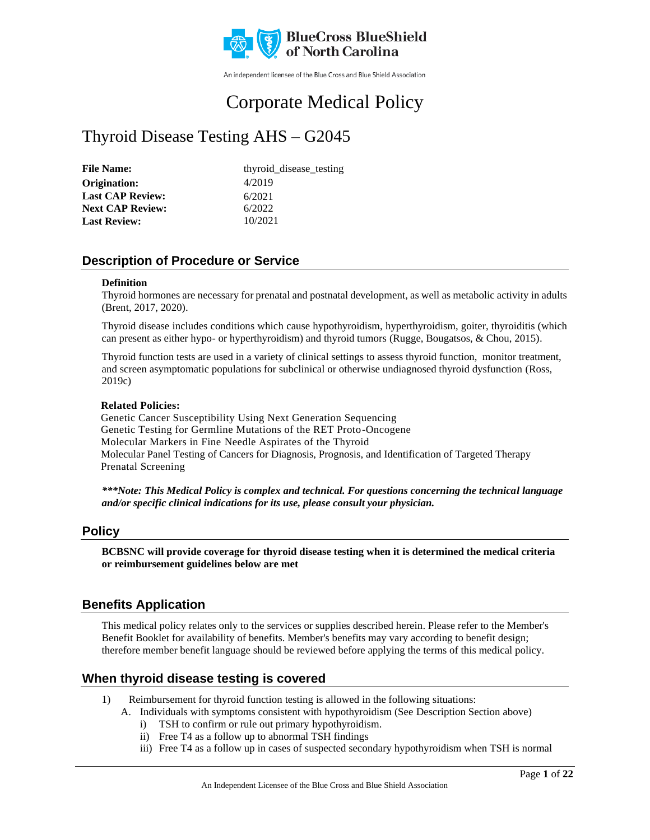

An independent licensee of the Blue Cross and Blue Shield Association

# Corporate Medical Policy

# Thyroid Disease Testing AHS – G2045

| <b>File Name:</b>       | thyroid_disease_testing |
|-------------------------|-------------------------|
| Origination:            | 4/2019                  |
| <b>Last CAP Review:</b> | 6/2021                  |
| <b>Next CAP Review:</b> | 6/2022                  |
| <b>Last Review:</b>     | 10/2021                 |

### **Description of Procedure or Service**

### **Definition**

Thyroid hormones are necessary for prenatal and postnatal development, as well as metabolic activity in adults (Brent, 2017, 2020).

Thyroid disease includes conditions which cause hypothyroidism, hyperthyroidism, goiter, thyroiditis (which can present as either hypo- or hyperthyroidism) and thyroid tumors (Rugge, Bougatsos, & Chou, 2015).

Thyroid function tests are used in a variety of clinical settings to assess thyroid function, monitor treatment, and screen asymptomatic populations for subclinical or otherwise undiagnosed thyroid dysfunction (Ross, 2019c)

### **Related Policies:**

Genetic Cancer Susceptibility Using Next Generation Sequencing Genetic Testing for Germline Mutations of the RET Proto-Oncogene Molecular Markers in Fine Needle Aspirates of the Thyroid Molecular Panel Testing of Cancers for Diagnosis, Prognosis, and Identification of Targeted Therapy Prenatal Screening

*\*\*\*Note: This Medical Policy is complex and technical. For questions concerning the technical language and/or specific clinical indications for its use, please consult your physician.*

### **Policy**

**BCBSNC will provide coverage for thyroid disease testing when it is determined the medical criteria or reimbursement guidelines below are met**

### **Benefits Application**

This medical policy relates only to the services or supplies described herein. Please refer to the Member's Benefit Booklet for availability of benefits. Member's benefits may vary according to benefit design; therefore member benefit language should be reviewed before applying the terms of this medical policy.

### **When thyroid disease testing is covered**

- 1) Reimbursement for thyroid function testing is allowed in the following situations:
	- A. Individuals with symptoms consistent with hypothyroidism (See Description Section above)
		- i) TSH to confirm or rule out primary hypothyroidism.
		- ii) Free T4 as a follow up to abnormal TSH findings
		- iii) Free T4 as a follow up in cases of suspected secondary hypothyroidism when TSH is normal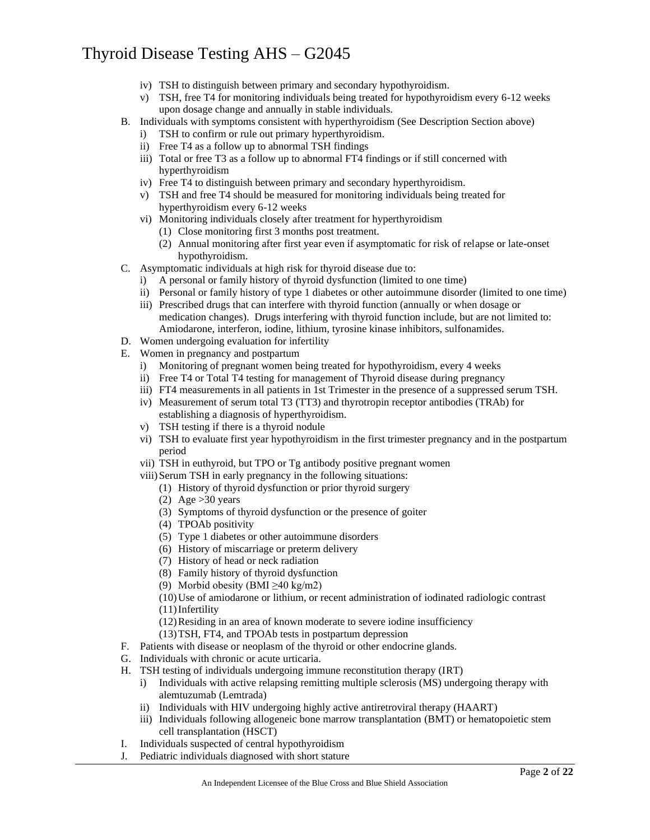- iv) TSH to distinguish between primary and secondary hypothyroidism.
- v) TSH, free T4 for monitoring individuals being treated for hypothyroidism every 6-12 weeks upon dosage change and annually in stable individuals.
- B. Individuals with symptoms consistent with hyperthyroidism (See Description Section above)
	- i) TSH to confirm or rule out primary hyperthyroidism.
	- ii) Free T4 as a follow up to abnormal TSH findings
	- iii) Total or free T3 as a follow up to abnormal FT4 findings or if still concerned with hyperthyroidism
	- iv) Free T4 to distinguish between primary and secondary hyperthyroidism.
	- v) TSH and free T4 should be measured for monitoring individuals being treated for hyperthyroidism every 6-12 weeks
	- vi) Monitoring individuals closely after treatment for hyperthyroidism
		- (1) Close monitoring first 3 months post treatment.
		- (2) Annual monitoring after first year even if asymptomatic for risk of relapse or late-onset hypothyroidism.
- C. Asymptomatic individuals at high risk for thyroid disease due to:
	- i) A personal or family history of thyroid dysfunction (limited to one time)
	- ii) Personal or family history of type 1 diabetes or other autoimmune disorder (limited to one time)
	- iii) Prescribed drugs that can interfere with thyroid function (annually or when dosage or medication changes). Drugs interfering with thyroid function include, but are not limited to: Amiodarone, interferon, iodine, lithium, tyrosine kinase inhibitors, sulfonamides.
- D. Women undergoing evaluation for infertility
- E. Women in pregnancy and postpartum
	- i) Monitoring of pregnant women being treated for hypothyroidism, every 4 weeks
	- ii) Free T4 or Total T4 testing for management of Thyroid disease during pregnancy
	- iii) FT4 measurements in all patients in 1st Trimester in the presence of a suppressed serum TSH.
	- iv) Measurement of serum total T3 (TT3) and thyrotropin receptor antibodies (TRAb) for establishing a diagnosis of hyperthyroidism.
	- v) TSH testing if there is a thyroid nodule
	- vi) TSH to evaluate first year hypothyroidism in the first trimester pregnancy and in the postpartum period
	- vii) TSH in euthyroid, but TPO or Tg antibody positive pregnant women
	- viii) Serum TSH in early pregnancy in the following situations:
		- (1) History of thyroid dysfunction or prior thyroid surgery
		- (2) Age  $>30$  years
		- (3) Symptoms of thyroid dysfunction or the presence of goiter
		- (4) TPOAb positivity
		- (5) Type 1 diabetes or other autoimmune disorders
		- (6) History of miscarriage or preterm delivery
		- (7) History of head or neck radiation
		- (8) Family history of thyroid dysfunction
		- (9) Morbid obesity (BMI  $\geq$ 40 kg/m2)
		- (10)Use of amiodarone or lithium, or recent administration of iodinated radiologic contrast (11)Infertility
		- (12)Residing in an area of known moderate to severe iodine insufficiency
		- (13)TSH, FT4, and TPOAb tests in postpartum depression
- F. Patients with disease or neoplasm of the thyroid or other endocrine glands.
- G. Individuals with chronic or acute urticaria.
- H. TSH testing of individuals undergoing immune reconstitution therapy (IRT)
	- i) Individuals with active relapsing remitting multiple sclerosis (MS) undergoing therapy with alemtuzumab (Lemtrada)
	- ii) Individuals with HIV undergoing highly active antiretroviral therapy (HAART)
	- iii) Individuals following allogeneic bone marrow transplantation (BMT) or hematopoietic stem cell transplantation (HSCT)
- I. Individuals suspected of central hypothyroidism
- J. Pediatric individuals diagnosed with short stature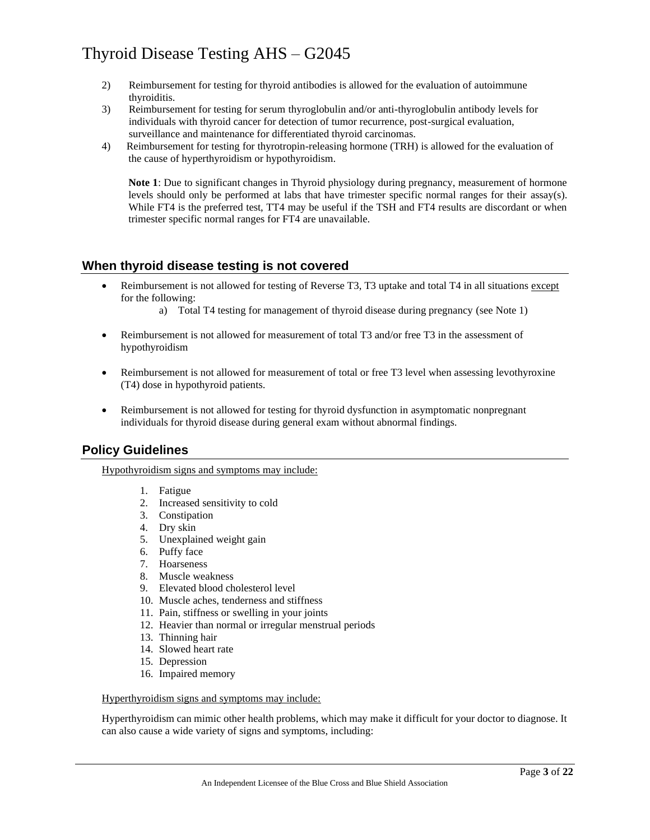- 2) Reimbursement for testing for thyroid antibodies is allowed for the evaluation of autoimmune thyroiditis.
- 3) Reimbursement for testing for serum thyroglobulin and/or anti-thyroglobulin antibody levels for individuals with thyroid cancer for detection of tumor recurrence, post-surgical evaluation, surveillance and maintenance for differentiated thyroid carcinomas.
- 4) Reimbursement for testing for thyrotropin-releasing hormone (TRH) is allowed for the evaluation of the cause of hyperthyroidism or hypothyroidism.

**Note 1**: Due to significant changes in Thyroid physiology during pregnancy, measurement of hormone levels should only be performed at labs that have trimester specific normal ranges for their assay(s). While FT4 is the preferred test, TT4 may be useful if the TSH and FT4 results are discordant or when trimester specific normal ranges for FT4 are unavailable.

### **When thyroid disease testing is not covered**

- Reimbursement is not allowed for testing of Reverse T3, T3 uptake and total T4 in all situations except for the following:
	- a) Total T4 testing for management of thyroid disease during pregnancy (see Note 1)
- Reimbursement is not allowed for measurement of total T3 and/or free T3 in the assessment of hypothyroidism
- Reimbursement is not allowed for measurement of total or free T3 level when assessing levothyroxine (T4) dose in hypothyroid patients.
- Reimbursement is not allowed for testing for thyroid dysfunction in asymptomatic nonpregnant individuals for thyroid disease during general exam without abnormal findings.

### **Policy Guidelines**

Hypothyroidism signs and symptoms may include:

- 1. Fatigue
- 2. Increased sensitivity to cold
- 3. Constipation
- 4. Dry skin
- 5. Unexplained weight gain
- 6. Puffy face
- 7. Hoarseness
- 8. Muscle weakness
- 9. Elevated blood cholesterol level
- 10. Muscle aches, tenderness and stiffness
- 11. Pain, stiffness or swelling in your joints
- 12. Heavier than normal or irregular menstrual periods
- 13. Thinning hair
- 14. Slowed heart rate
- 15. Depression
- 16. Impaired memory

### Hyperthyroidism signs and symptoms may include:

Hyperthyroidism can mimic other health problems, which may make it difficult for your doctor to diagnose. It can also cause a wide variety of signs and symptoms, including: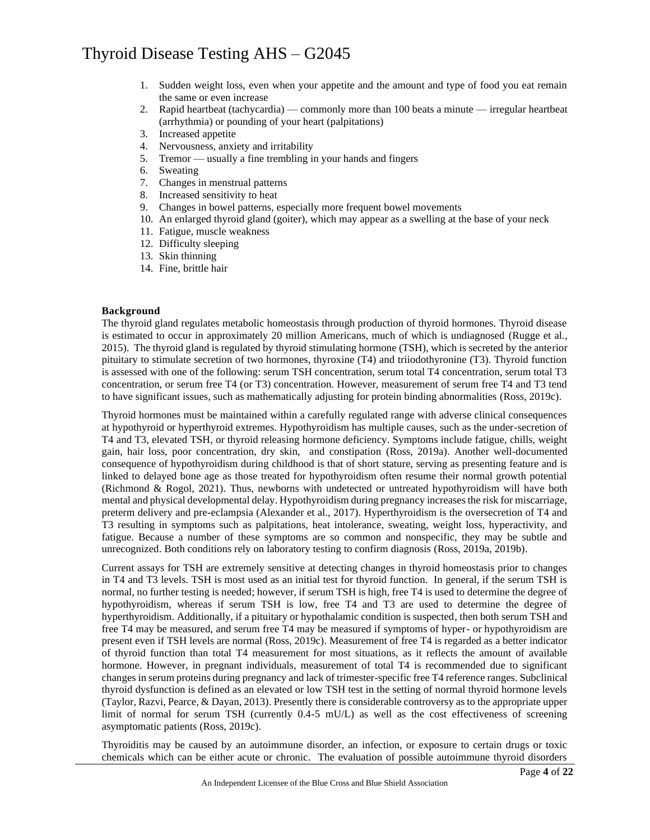- 1. Sudden weight loss, even when your appetite and the amount and type of food you eat remain the same or even increase
- 2. Rapid heartbeat (tachycardia) commonly more than 100 beats a minute irregular heartbeat (arrhythmia) or pounding of your heart (palpitations)
- 3. Increased appetite
- 4. Nervousness, anxiety and irritability
- 5. Tremor usually a fine trembling in your hands and fingers
- 6. Sweating
- 7. Changes in menstrual patterns
- 8. Increased sensitivity to heat
- 9. Changes in bowel patterns, especially more frequent bowel movements
- 10. An enlarged thyroid gland (goiter), which may appear as a swelling at the base of your neck
- 11. Fatigue, muscle weakness
- 12. Difficulty sleeping
- 13. Skin thinning
- 14. Fine, brittle hair

#### **Background**

The thyroid gland regulates metabolic homeostasis through production of thyroid hormones. Thyroid disease is estimated to occur in approximately 20 million Americans, much of which is undiagnosed (Rugge et al., 2015). The thyroid gland is regulated by thyroid stimulating hormone (TSH), which is secreted by the anterior pituitary to stimulate secretion of two hormones, thyroxine (T4) and triiodothyronine (T3). Thyroid function is assessed with one of the following: serum TSH concentration, serum total T4 concentration, serum total T3 concentration, or serum free T4 (or T3) concentration. However, measurement of serum free T4 and T3 tend to have significant issues, such as mathematically adjusting for protein binding abnormalities (Ross, 2019c).

Thyroid hormones must be maintained within a carefully regulated range with adverse clinical consequences at hypothyroid or hyperthyroid extremes. Hypothyroidism has multiple causes, such as the under-secretion of T4 and T3, elevated TSH, or thyroid releasing hormone deficiency. Symptoms include fatigue, chills, weight gain, hair loss, poor concentration, dry skin, and constipation (Ross, 2019a). Another well-documented consequence of hypothyroidism during childhood is that of short stature, serving as presenting feature and is linked to delayed bone age as those treated for hypothyroidism often resume their normal growth potential (Richmond & Rogol, 2021). Thus, newborns with undetected or untreated hypothyroidism will have both mental and physical developmental delay. Hypothyroidism during pregnancy increases the risk for miscarriage, preterm delivery and pre-eclampsia (Alexander et al., 2017). Hyperthyroidism is the oversecretion of T4 and T3 resulting in symptoms such as palpitations, heat intolerance, sweating, weight loss, hyperactivity, and fatigue. Because a number of these symptoms are so common and nonspecific, they may be subtle and unrecognized. Both conditions rely on laboratory testing to confirm diagnosis (Ross, 2019a, 2019b).

Current assays for TSH are extremely sensitive at detecting changes in thyroid homeostasis prior to changes in T4 and T3 levels. TSH is most used as an initial test for thyroid function. In general, if the serum TSH is normal, no further testing is needed; however, if serum TSH is high, free T4 is used to determine the degree of hypothyroidism, whereas if serum TSH is low, free T4 and T3 are used to determine the degree of hyperthyroidism. Additionally, if a pituitary or hypothalamic condition is suspected, then both serum TSH and free T4 may be measured, and serum free T4 may be measured if symptoms of hyper- or hypothyroidism are present even if TSH levels are normal (Ross, 2019c). Measurement of free T4 is regarded as a better indicator of thyroid function than total T4 measurement for most situations, as it reflects the amount of available hormone. However, in pregnant individuals, measurement of total T4 is recommended due to significant changes in serum proteins during pregnancy and lack of trimester-specific free T4 reference ranges. Subclinical thyroid dysfunction is defined as an elevated or low TSH test in the setting of normal thyroid hormone levels (Taylor, Razvi, Pearce, & Dayan, 2013). Presently there is considerable controversy as to the appropriate upper limit of normal for serum TSH (currently 0.4-5 mU/L) as well as the cost effectiveness of screening asymptomatic patients (Ross, 2019c).

Thyroiditis may be caused by an autoimmune disorder, an infection, or exposure to certain drugs or toxic chemicals which can be either acute or chronic. The evaluation of possible autoimmune thyroid disorders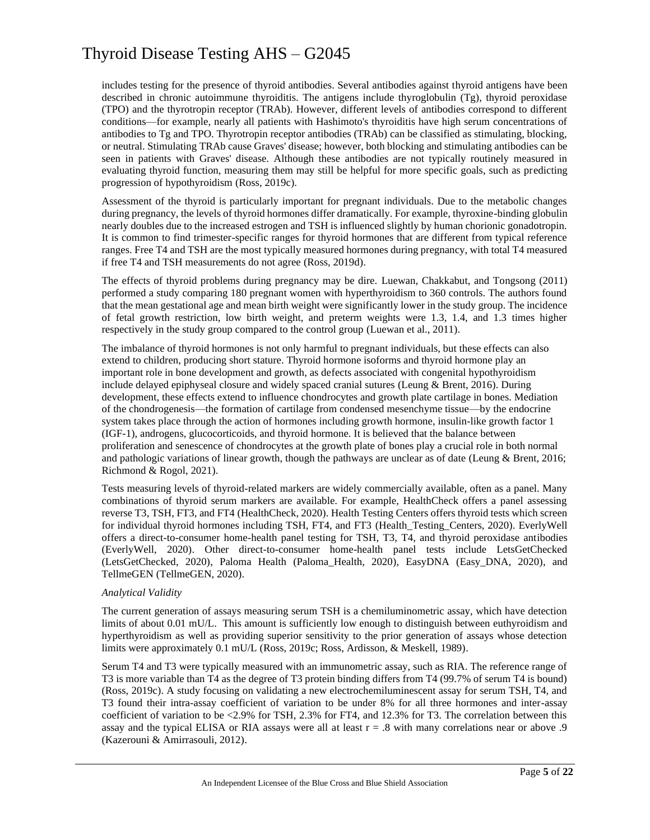includes testing for the presence of thyroid antibodies. Several antibodies against thyroid antigens have been described in chronic autoimmune thyroiditis. The antigens include thyroglobulin (Tg), thyroid peroxidase (TPO) and the thyrotropin receptor (TRAb). However, different levels of antibodies correspond to different conditions—for example, nearly all patients with Hashimoto's thyroiditis have high serum concentrations of antibodies to Tg and TPO. Thyrotropin receptor antibodies (TRAb) can be classified as stimulating, blocking, or neutral. Stimulating TRAb cause Graves' disease; however, both blocking and stimulating antibodies can be seen in patients with Graves' disease. Although these antibodies are not typically routinely measured in evaluating thyroid function, measuring them may still be helpful for more specific goals, such as predicting progression of hypothyroidism (Ross, 2019c).

Assessment of the thyroid is particularly important for pregnant individuals. Due to the metabolic changes during pregnancy, the levels of thyroid hormones differ dramatically. For example, thyroxine-binding globulin nearly doubles due to the increased estrogen and TSH is influenced slightly by human chorionic gonadotropin. It is common to find trimester-specific ranges for thyroid hormones that are different from typical reference ranges. Free T4 and TSH are the most typically measured hormones during pregnancy, with total T4 measured if free T4 and TSH measurements do not agree (Ross, 2019d).

The effects of thyroid problems during pregnancy may be dire. Luewan, Chakkabut, and Tongsong (2011) performed a study comparing 180 pregnant women with hyperthyroidism to 360 controls. The authors found that the mean gestational age and mean birth weight were significantly lower in the study group. The incidence of fetal growth restriction, low birth weight, and preterm weights were 1.3, 1.4, and 1.3 times higher respectively in the study group compared to the control group (Luewan et al., 2011).

The imbalance of thyroid hormones is not only harmful to pregnant individuals, but these effects can also extend to children, producing short stature. Thyroid hormone isoforms and thyroid hormone play an important role in bone development and growth, as defects associated with congenital hypothyroidism include delayed epiphyseal closure and widely spaced cranial sutures (Leung  $\&$  Brent, 2016). During development, these effects extend to influence chondrocytes and growth plate cartilage in bones. Mediation of the chondrogenesis—the formation of cartilage from condensed mesenchyme tissue—by the endocrine system takes place through the action of hormones including growth hormone, insulin-like growth factor 1 (IGF-1), androgens, glucocorticoids, and thyroid hormone. It is believed that the balance between proliferation and senescence of chondrocytes at the growth plate of bones play a crucial role in both normal and pathologic variations of linear growth, though the pathways are unclear as of date (Leung & Brent, 2016; Richmond & Rogol, 2021).

Tests measuring levels of thyroid-related markers are widely commercially available, often as a panel. Many combinations of thyroid serum markers are available. For example, HealthCheck offers a panel assessing reverse T3, TSH, FT3, and FT4 (HealthCheck, 2020). Health Testing Centers offers thyroid tests which screen for individual thyroid hormones including TSH, FT4, and FT3 (Health\_Testing\_Centers, 2020). EverlyWell offers a direct-to-consumer home-health panel testing for TSH, T3, T4, and thyroid peroxidase antibodies (EverlyWell, 2020). Other direct-to-consumer home-health panel tests include LetsGetChecked (LetsGetChecked, 2020), Paloma Health (Paloma\_Health, 2020), EasyDNA (Easy\_DNA, 2020), and TellmeGEN (TellmeGEN, 2020).

### *Analytical Validity*

The current generation of assays measuring serum TSH is a chemiluminometric assay, which have detection limits of about 0.01 mU/L. This amount is sufficiently low enough to distinguish between euthyroidism and hyperthyroidism as well as providing superior sensitivity to the prior generation of assays whose detection limits were approximately 0.1 mU/L (Ross, 2019c; Ross, Ardisson, & Meskell, 1989).

Serum T4 and T3 were typically measured with an immunometric assay, such as RIA. The reference range of T3 is more variable than T4 as the degree of T3 protein binding differs from T4 (99.7% of serum T4 is bound) (Ross, 2019c). A study focusing on validating a new electrochemiluminescent assay for serum TSH, T4, and T3 found their intra-assay coefficient of variation to be under 8% for all three hormones and inter-assay coefficient of variation to be <2.9% for TSH, 2.3% for FT4, and 12.3% for T3. The correlation between this assay and the typical ELISA or RIA assays were all at least  $r = .8$  with many correlations near or above .9 (Kazerouni & Amirrasouli, 2012).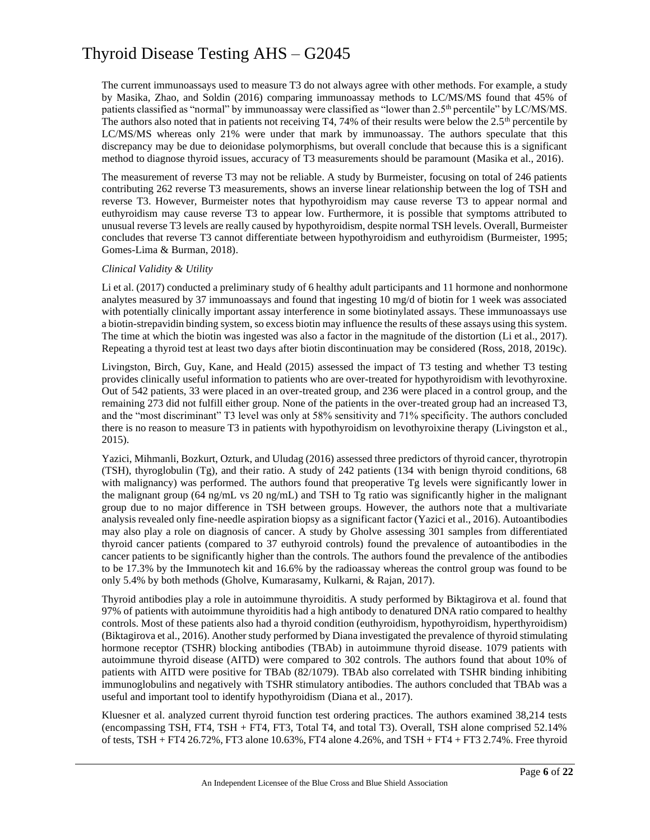The current immunoassays used to measure T3 do not always agree with other methods. For example, a study by Masika, Zhao, and Soldin (2016) comparing immunoassay methods to LC/MS/MS found that 45% of patients classified as "normal" by immunoassay were classified as "lower than 2.5<sup>th</sup> percentile" by LC/MS/MS. The authors also noted that in patients not receiving T4, 74% of their results were below the  $2.5<sup>th</sup>$  percentile by LC/MS/MS whereas only 21% were under that mark by immunoassay. The authors speculate that this discrepancy may be due to deionidase polymorphisms, but overall conclude that because this is a significant method to diagnose thyroid issues, accuracy of T3 measurements should be paramount (Masika et al., 2016).

The measurement of reverse T3 may not be reliable. A study by Burmeister, focusing on total of 246 patients contributing 262 reverse T3 measurements, shows an inverse linear relationship between the log of TSH and reverse T3. However, Burmeister notes that hypothyroidism may cause reverse T3 to appear normal and euthyroidism may cause reverse T3 to appear low. Furthermore, it is possible that symptoms attributed to unusual reverse T3 levels are really caused by hypothyroidism, despite normal TSH levels. Overall, Burmeister concludes that reverse T3 cannot differentiate between hypothyroidism and euthyroidism (Burmeister, 1995; Gomes-Lima & Burman, 2018).

### *Clinical Validity & Utility*

Li et al. (2017) conducted a preliminary study of 6 healthy adult participants and 11 hormone and nonhormone analytes measured by 37 immunoassays and found that ingesting 10 mg/d of biotin for 1 week was associated with potentially clinically important assay interference in some biotinylated assays. These immunoassays use a biotin-strepavidin binding system, so excess biotin may influence the results of these assays using this system. The time at which the biotin was ingested was also a factor in the magnitude of the distortion (Li et al., 2017). Repeating a thyroid test at least two days after biotin discontinuation may be considered (Ross, 2018, 2019c).

Livingston, Birch, Guy, Kane, and Heald (2015) assessed the impact of T3 testing and whether T3 testing provides clinically useful information to patients who are over-treated for hypothyroidism with levothyroxine. Out of 542 patients, 33 were placed in an over-treated group, and 236 were placed in a control group, and the remaining 273 did not fulfill either group. None of the patients in the over-treated group had an increased T3, and the "most discriminant" T3 level was only at 58% sensitivity and 71% specificity. The authors concluded there is no reason to measure T3 in patients with hypothyroidism on levothyroixine therapy (Livingston et al., 2015).

Yazici, Mihmanli, Bozkurt, Ozturk, and Uludag (2016) assessed three predictors of thyroid cancer, thyrotropin (TSH), thyroglobulin (Tg), and their ratio. A study of 242 patients (134 with benign thyroid conditions, 68 with malignancy) was performed. The authors found that preoperative Tg levels were significantly lower in the malignant group (64 ng/mL vs 20 ng/mL) and TSH to Tg ratio was significantly higher in the malignant group due to no major difference in TSH between groups. However, the authors note that a multivariate analysis revealed only fine-needle aspiration biopsy as a significant factor (Yazici et al., 2016). Autoantibodies may also play a role on diagnosis of cancer. A study by Gholve assessing 301 samples from differentiated thyroid cancer patients (compared to 37 euthyroid controls) found the prevalence of autoantibodies in the cancer patients to be significantly higher than the controls. The authors found the prevalence of the antibodies to be 17.3% by the Immunotech kit and 16.6% by the radioassay whereas the control group was found to be only 5.4% by both methods (Gholve, Kumarasamy, Kulkarni, & Rajan, 2017).

Thyroid antibodies play a role in autoimmune thyroiditis. A study performed by Biktagirova et al. found that 97% of patients with autoimmune thyroiditis had a high antibody to denatured DNA ratio compared to healthy controls. Most of these patients also had a thyroid condition (euthyroidism, hypothyroidism, hyperthyroidism) (Biktagirova et al., 2016). Another study performed by Diana investigated the prevalence of thyroid stimulating hormone receptor (TSHR) blocking antibodies (TBAb) in autoimmune thyroid disease. 1079 patients with autoimmune thyroid disease (AITD) were compared to 302 controls. The authors found that about 10% of patients with AITD were positive for TBAb (82/1079). TBAb also correlated with TSHR binding inhibiting immunoglobulins and negatively with TSHR stimulatory antibodies. The authors concluded that TBAb was a useful and important tool to identify hypothyroidism (Diana et al., 2017).

Kluesner et al. analyzed current thyroid function test ordering practices. The authors examined 38,214 tests (encompassing TSH, FT4, TSH + FT4, FT3, Total T4, and total T3). Overall, TSH alone comprised 52.14% of tests, TSH + FT4 26.72%, FT3 alone 10.63%, FT4 alone 4.26%, and TSH + FT4 + FT3 2.74%. Free thyroid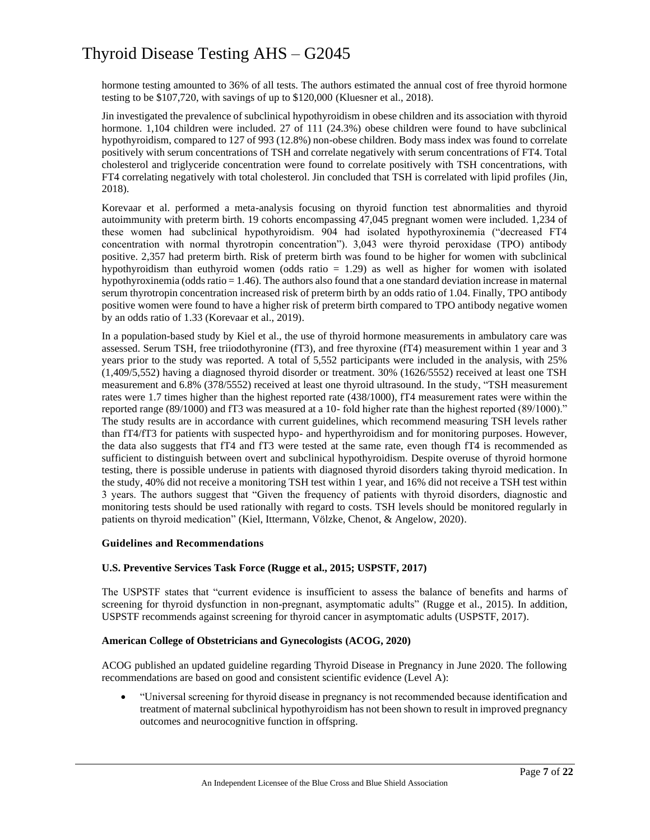hormone testing amounted to 36% of all tests. The authors estimated the annual cost of free thyroid hormone testing to be \$107,720, with savings of up to \$120,000 (Kluesner et al., 2018).

Jin investigated the prevalence of subclinical hypothyroidism in obese children and its association with thyroid hormone. 1,104 children were included. 27 of 111 (24.3%) obese children were found to have subclinical hypothyroidism, compared to 127 of 993 (12.8%) non-obese children. Body mass index was found to correlate positively with serum concentrations of TSH and correlate negatively with serum concentrations of FT4. Total cholesterol and triglyceride concentration were found to correlate positively with TSH concentrations, with FT4 correlating negatively with total cholesterol. Jin concluded that TSH is correlated with lipid profiles (Jin, 2018).

Korevaar et al. performed a meta-analysis focusing on thyroid function test abnormalities and thyroid autoimmunity with preterm birth. 19 cohorts encompassing 47,045 pregnant women were included. 1,234 of these women had subclinical hypothyroidism. 904 had isolated hypothyroxinemia ("decreased FT4 concentration with normal thyrotropin concentration"). 3,043 were thyroid peroxidase (TPO) antibody positive. 2,357 had preterm birth. Risk of preterm birth was found to be higher for women with subclinical hypothyroidism than euthyroid women (odds ratio = 1.29) as well as higher for women with isolated hypothyroxinemia (odds ratio = 1.46). The authors also found that a one standard deviation increase in maternal serum thyrotropin concentration increased risk of preterm birth by an odds ratio of 1.04. Finally, TPO antibody positive women were found to have a higher risk of preterm birth compared to TPO antibody negative women by an odds ratio of 1.33 (Korevaar et al., 2019).

In a population-based study by Kiel et al., the use of thyroid hormone measurements in ambulatory care was assessed. Serum TSH, free triiodothyronine (fT3), and free thyroxine (fT4) measurement within 1 year and 3 years prior to the study was reported. A total of 5,552 participants were included in the analysis, with 25% (1,409/5,552) having a diagnosed thyroid disorder or treatment. 30% (1626/5552) received at least one TSH measurement and 6.8% (378/5552) received at least one thyroid ultrasound. In the study, "TSH measurement rates were 1.7 times higher than the highest reported rate (438/1000), fT4 measurement rates were within the reported range (89/1000) and fT3 was measured at a 10- fold higher rate than the highest reported (89/1000)." The study results are in accordance with current guidelines, which recommend measuring TSH levels rather than fT4/fT3 for patients with suspected hypo- and hyperthyroidism and for monitoring purposes. However, the data also suggests that fT4 and fT3 were tested at the same rate, even though fT4 is recommended as sufficient to distinguish between overt and subclinical hypothyroidism. Despite overuse of thyroid hormone testing, there is possible underuse in patients with diagnosed thyroid disorders taking thyroid medication. In the study, 40% did not receive a monitoring TSH test within 1 year, and 16% did not receive a TSH test within 3 years. The authors suggest that "Given the frequency of patients with thyroid disorders, diagnostic and monitoring tests should be used rationally with regard to costs. TSH levels should be monitored regularly in patients on thyroid medication" (Kiel, Ittermann, Völzke, Chenot, & Angelow, 2020).

### **Guidelines and Recommendations**

### **U.S. Preventive Services Task Force (Rugge et al., 2015; USPSTF, 2017)**

The USPSTF states that "current evidence is insufficient to assess the balance of benefits and harms of screening for thyroid dysfunction in non-pregnant, asymptomatic adults" (Rugge et al., 2015). In addition, USPSTF recommends against screening for thyroid cancer in asymptomatic adults (USPSTF, 2017).

### **American College of Obstetricians and Gynecologists (ACOG, 2020)**

ACOG published an updated guideline regarding Thyroid Disease in Pregnancy in June 2020. The following recommendations are based on good and consistent scientific evidence (Level A):

• "Universal screening for thyroid disease in pregnancy is not recommended because identification and treatment of maternal subclinical hypothyroidism has not been shown to result in improved pregnancy outcomes and neurocognitive function in offspring.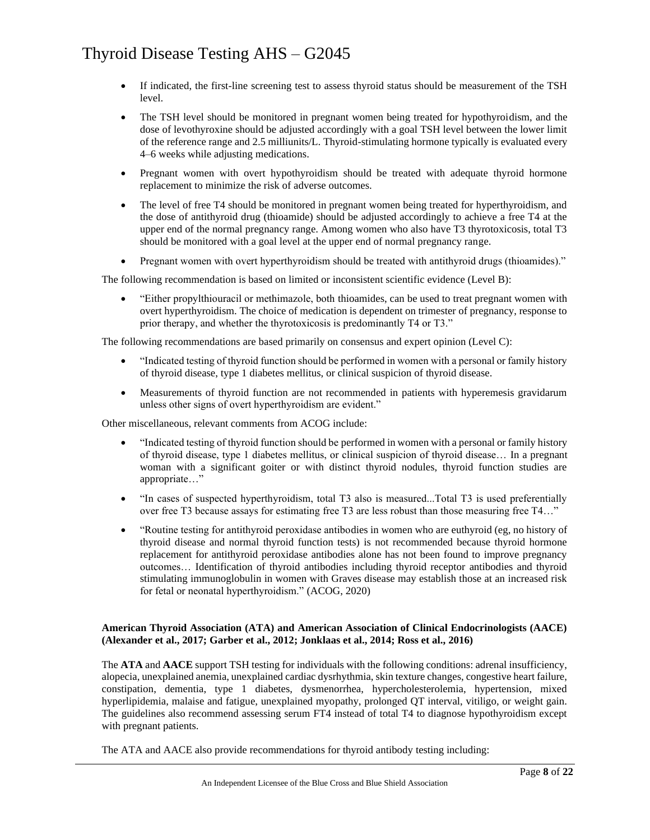- If indicated, the first-line screening test to assess thyroid status should be measurement of the TSH level.
- The TSH level should be monitored in pregnant women being treated for hypothyroidism, and the dose of levothyroxine should be adjusted accordingly with a goal TSH level between the lower limit of the reference range and 2.5 milliunits/L. Thyroid-stimulating hormone typically is evaluated every 4–6 weeks while adjusting medications.
- Pregnant women with overt hypothyroidism should be treated with adequate thyroid hormone replacement to minimize the risk of adverse outcomes.
- The level of free T4 should be monitored in pregnant women being treated for hyperthyroidism, and the dose of antithyroid drug (thioamide) should be adjusted accordingly to achieve a free T4 at the upper end of the normal pregnancy range. Among women who also have T3 thyrotoxicosis, total T3 should be monitored with a goal level at the upper end of normal pregnancy range.
- Pregnant women with overt hyperthyroidism should be treated with antithyroid drugs (thioamides)."

The following recommendation is based on limited or inconsistent scientific evidence (Level B):

• "Either propylthiouracil or methimazole, both thioamides, can be used to treat pregnant women with overt hyperthyroidism. The choice of medication is dependent on trimester of pregnancy, response to prior therapy, and whether the thyrotoxicosis is predominantly T4 or T3."

The following recommendations are based primarily on consensus and expert opinion (Level C):

- "Indicated testing of thyroid function should be performed in women with a personal or family history of thyroid disease, type 1 diabetes mellitus, or clinical suspicion of thyroid disease.
- Measurements of thyroid function are not recommended in patients with hyperemesis gravidarum unless other signs of overt hyperthyroidism are evident."

Other miscellaneous, relevant comments from ACOG include:

- "Indicated testing of thyroid function should be performed in women with a personal or family history of thyroid disease, type 1 diabetes mellitus, or clinical suspicion of thyroid disease… In a pregnant woman with a significant goiter or with distinct thyroid nodules, thyroid function studies are appropriate…"
- "In cases of suspected hyperthyroidism, total T3 also is measured...Total T3 is used preferentially over free T3 because assays for estimating free T3 are less robust than those measuring free T4…"
- "Routine testing for antithyroid peroxidase antibodies in women who are euthyroid (eg, no history of thyroid disease and normal thyroid function tests) is not recommended because thyroid hormone replacement for antithyroid peroxidase antibodies alone has not been found to improve pregnancy outcomes… Identification of thyroid antibodies including thyroid receptor antibodies and thyroid stimulating immunoglobulin in women with Graves disease may establish those at an increased risk for fetal or neonatal hyperthyroidism." (ACOG, 2020)

### **American Thyroid Association (ATA) and American Association of Clinical Endocrinologists (AACE) (Alexander et al., 2017; Garber et al., 2012; Jonklaas et al., 2014; Ross et al., 2016)**

The **ATA** and **AACE** support TSH testing for individuals with the following conditions: adrenal insufficiency, alopecia, unexplained anemia, unexplained cardiac dysrhythmia, skin texture changes, congestive heart failure, constipation, dementia, type 1 diabetes, dysmenorrhea, hypercholesterolemia, hypertension, mixed hyperlipidemia, malaise and fatigue, unexplained myopathy, prolonged QT interval, vitiligo, or weight gain. The guidelines also recommend assessing serum FT4 instead of total T4 to diagnose hypothyroidism except with pregnant patients.

The ATA and AACE also provide recommendations for thyroid antibody testing including: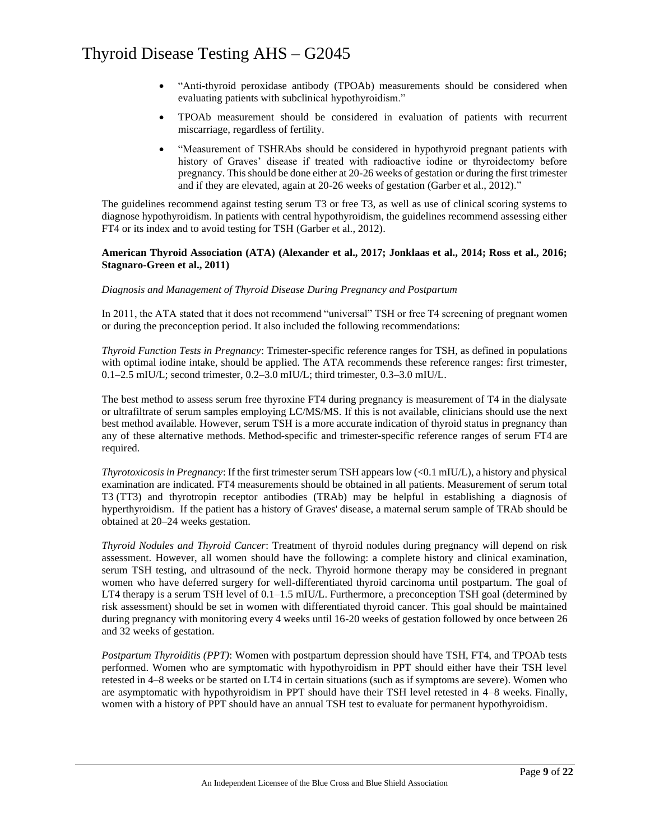- "Anti-thyroid peroxidase antibody (TPOAb) measurements should be considered when evaluating patients with subclinical hypothyroidism."
- TPOAb measurement should be considered in evaluation of patients with recurrent miscarriage, regardless of fertility.
- "Measurement of TSHRAbs should be considered in hypothyroid pregnant patients with history of Graves' disease if treated with radioactive iodine or thyroidectomy before pregnancy. This should be done either at 20-26 weeks of gestation or during the first trimester and if they are elevated, again at 20-26 weeks of gestation (Garber et al., 2012)."

The guidelines recommend against testing serum T3 or free T3, as well as use of clinical scoring systems to diagnose hypothyroidism. In patients with central hypothyroidism, the guidelines recommend assessing either FT4 or its index and to avoid testing for TSH (Garber et al., 2012).

### **American Thyroid Association (ATA) (Alexander et al., 2017; Jonklaas et al., 2014; Ross et al., 2016; Stagnaro-Green et al., 2011)**

### *Diagnosis and Management of Thyroid Disease During Pregnancy and Postpartum*

In 2011, the ATA stated that it does not recommend "universal" TSH or free T4 screening of pregnant women or during the preconception period. It also included the following recommendations:

*Thyroid Function Tests in Pregnancy*: Trimester-specific reference ranges for TSH, as defined in populations with optimal iodine intake, should be applied. The ATA recommends these reference ranges: first trimester, 0.1–2.5 mIU/L; second trimester, 0.2–3.0 mIU/L; third trimester, 0.3–3.0 mIU/L.

The best method to assess serum free thyroxine FT4 during pregnancy is measurement of T4 in the dialysate or ultrafiltrate of serum samples employing LC/MS/MS. If this is not available, clinicians should use the next best method available. However, serum TSH is a more accurate indication of thyroid status in pregnancy than any of these alternative methods. Method-specific and trimester-specific reference ranges of serum FT4 are required.

*Thyrotoxicosis in Pregnancy*: If the first trimester serum TSH appears low (<0.1 mIU/L), a history and physical examination are indicated. FT4 measurements should be obtained in all patients. Measurement of serum total T3 (TT3) and thyrotropin receptor antibodies (TRAb) may be helpful in establishing a diagnosis of hyperthyroidism. If the patient has a history of Graves' disease, a maternal serum sample of TRAb should be obtained at 20–24 weeks gestation.

*Thyroid Nodules and Thyroid Cancer*: Treatment of thyroid nodules during pregnancy will depend on risk assessment. However, all women should have the following: a complete history and clinical examination, serum TSH testing, and ultrasound of the neck. Thyroid hormone therapy may be considered in pregnant women who have deferred surgery for well-differentiated thyroid carcinoma until postpartum. The goal of LT4 therapy is a serum TSH level of 0.1–1.5 mIU/L. Furthermore, a preconception TSH goal (determined by risk assessment) should be set in women with differentiated thyroid cancer. This goal should be maintained during pregnancy with monitoring every 4 weeks until 16-20 weeks of gestation followed by once between 26 and 32 weeks of gestation.

*Postpartum Thyroiditis (PPT)*: Women with postpartum depression should have TSH, FT4, and TPOAb tests performed. Women who are symptomatic with hypothyroidism in PPT should either have their TSH level retested in 4–8 weeks or be started on LT4 in certain situations (such as if symptoms are severe). Women who are asymptomatic with hypothyroidism in PPT should have their TSH level retested in 4–8 weeks. Finally, women with a history of PPT should have an annual TSH test to evaluate for permanent hypothyroidism.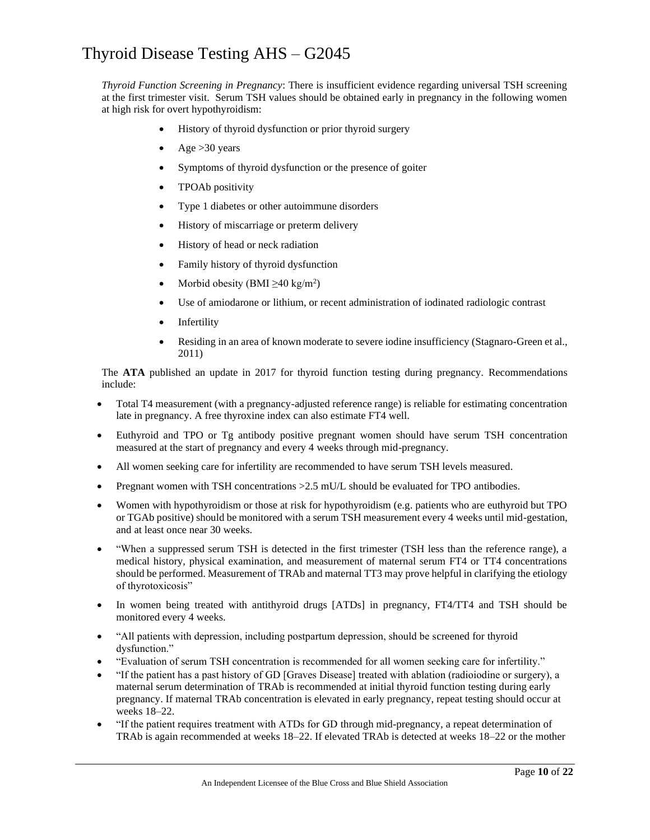*Thyroid Function Screening in Pregnancy*: There is insufficient evidence regarding universal TSH screening at the first trimester visit. Serum TSH values should be obtained early in pregnancy in the following women at high risk for overt hypothyroidism:

- History of thyroid dysfunction or prior thyroid surgery
- Age  $>30$  years
- Symptoms of thyroid dysfunction or the presence of goiter
- TPOAb positivity
- Type 1 diabetes or other autoimmune disorders
- History of miscarriage or preterm delivery
- History of head or neck radiation
- Family history of thyroid dysfunction
- Morbid obesity (BMI  $\geq 40 \text{ kg/m}^2$ )
- Use of amiodarone or lithium, or recent administration of iodinated radiologic contrast
- **Infertility**
- Residing in an area of known moderate to severe iodine insufficiency (Stagnaro-Green et al., 2011)

The **ATA** published an update in 2017 for thyroid function testing during pregnancy. Recommendations include:

- Total T4 measurement (with a pregnancy-adjusted reference range) is reliable for estimating concentration late in pregnancy. A free thyroxine index can also estimate FT4 well.
- Euthyroid and TPO or Tg antibody positive pregnant women should have serum TSH concentration measured at the start of pregnancy and every 4 weeks through mid-pregnancy.
- All women seeking care for infertility are recommended to have serum TSH levels measured.
- Pregnant women with TSH concentrations  $>2.5$  mU/L should be evaluated for TPO antibodies.
- Women with hypothyroidism or those at risk for hypothyroidism (e.g. patients who are euthyroid but TPO or TGAb positive) should be monitored with a serum TSH measurement every 4 weeks until mid-gestation, and at least once near 30 weeks.
- "When a suppressed serum TSH is detected in the first trimester (TSH less than the reference range), a medical history, physical examination, and measurement of maternal serum FT4 or TT4 concentrations should be performed. Measurement of TRAb and maternal TT3 may prove helpful in clarifying the etiology of thyrotoxicosis"
- In women being treated with antithyroid drugs [ATDs] in pregnancy, FT4/TT4 and TSH should be monitored every 4 weeks.
- "All patients with depression, including postpartum depression, should be screened for thyroid dysfunction."
- "Evaluation of serum TSH concentration is recommended for all women seeking care for infertility."
- "If the patient has a past history of GD [Graves Disease] treated with ablation (radioiodine or surgery), a maternal serum determination of TRAb is recommended at initial thyroid function testing during early pregnancy. If maternal TRAb concentration is elevated in early pregnancy, repeat testing should occur at weeks 18–22.
- "If the patient requires treatment with ATDs for GD through mid-pregnancy, a repeat determination of TRAb is again recommended at weeks 18–22. If elevated TRAb is detected at weeks 18–22 or the mother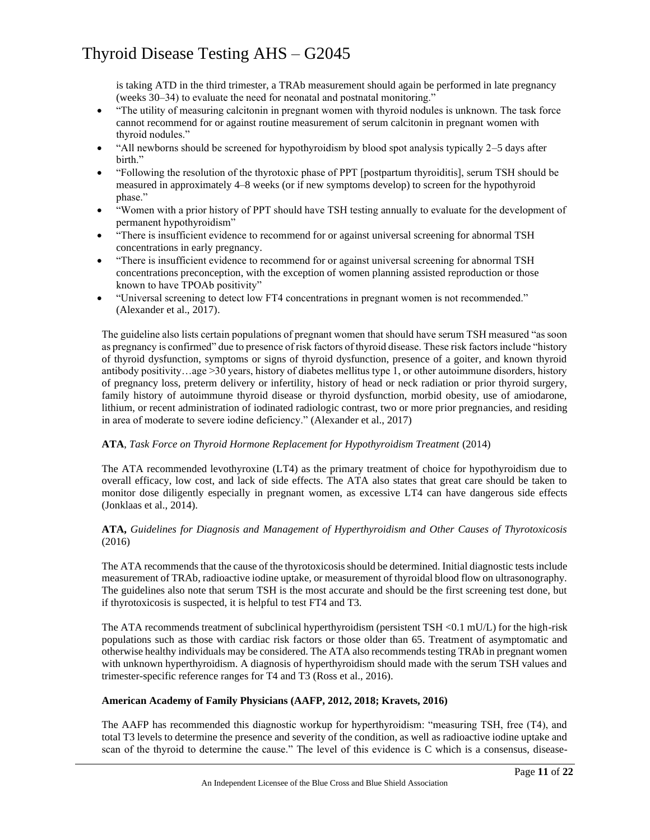is taking ATD in the third trimester, a TRAb measurement should again be performed in late pregnancy (weeks 30–34) to evaluate the need for neonatal and postnatal monitoring."

- "The utility of measuring calcitonin in pregnant women with thyroid nodules is unknown. The task force cannot recommend for or against routine measurement of serum calcitonin in pregnant women with thyroid nodules."
- "All newborns should be screened for hypothyroidism by blood spot analysis typically 2–5 days after birth."
- "Following the resolution of the thyrotoxic phase of PPT [postpartum thyroiditis], serum TSH should be measured in approximately 4–8 weeks (or if new symptoms develop) to screen for the hypothyroid phase."
- "Women with a prior history of PPT should have TSH testing annually to evaluate for the development of permanent hypothyroidism"
- "There is insufficient evidence to recommend for or against universal screening for abnormal TSH concentrations in early pregnancy.
- "There is insufficient evidence to recommend for or against universal screening for abnormal TSH concentrations preconception, with the exception of women planning assisted reproduction or those known to have TPOAb positivity"
- "Universal screening to detect low FT4 concentrations in pregnant women is not recommended." (Alexander et al., 2017).

The guideline also lists certain populations of pregnant women that should have serum TSH measured "as soon as pregnancy is confirmed" due to presence of risk factors of thyroid disease. These risk factors include "history of thyroid dysfunction, symptoms or signs of thyroid dysfunction, presence of a goiter, and known thyroid antibody positivity…age >30 years, history of diabetes mellitus type 1, or other autoimmune disorders, history of pregnancy loss, preterm delivery or infertility, history of head or neck radiation or prior thyroid surgery, family history of autoimmune thyroid disease or thyroid dysfunction, morbid obesity, use of amiodarone, lithium, or recent administration of iodinated radiologic contrast, two or more prior pregnancies, and residing in area of moderate to severe iodine deficiency." (Alexander et al., 2017)

### **ATA**, *Task Force on Thyroid Hormone Replacement for Hypothyroidism Treatment* (2014)

The ATA recommended levothyroxine (LT4) as the primary treatment of choice for hypothyroidism due to overall efficacy, low cost, and lack of side effects. The ATA also states that great care should be taken to monitor dose diligently especially in pregnant women, as excessive LT4 can have dangerous side effects (Jonklaas et al., 2014).

### **ATA,** *Guidelines for Diagnosis and Management of Hyperthyroidism and Other Causes of Thyrotoxicosis* (2016)

The ATA recommends that the cause of the thyrotoxicosis should be determined. Initial diagnostic tests include measurement of TRAb, radioactive iodine uptake, or measurement of thyroidal blood flow on ultrasonography. The guidelines also note that serum TSH is the most accurate and should be the first screening test done, but if thyrotoxicosis is suspected, it is helpful to test FT4 and T3.

The ATA recommends treatment of subclinical hyperthyroidism (persistent TSH <0.1 mU/L) for the high-risk populations such as those with cardiac risk factors or those older than 65. Treatment of asymptomatic and otherwise healthy individuals may be considered. The ATA also recommends testing TRAb in pregnant women with unknown hyperthyroidism. A diagnosis of hyperthyroidism should made with the serum TSH values and trimester-specific reference ranges for T4 and T3 (Ross et al., 2016).

### **American Academy of Family Physicians (AAFP, 2012, 2018; Kravets, 2016)**

The AAFP has recommended this diagnostic workup for hyperthyroidism: "measuring TSH, free (T4), and total T3 levels to determine the presence and severity of the condition, as well as radioactive iodine uptake and scan of the thyroid to determine the cause." The level of this evidence is C which is a consensus, disease-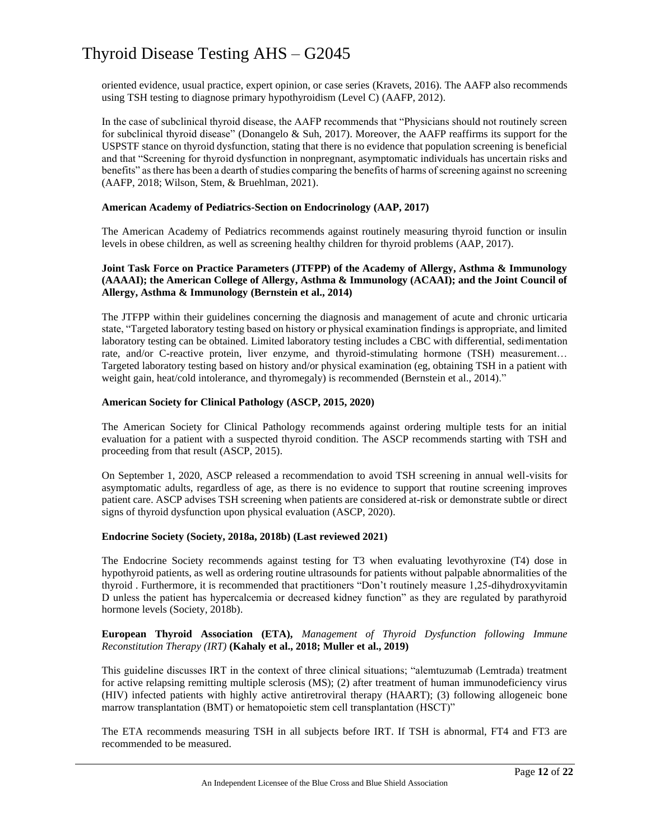oriented evidence, usual practice, expert opinion, or case series (Kravets, 2016). The AAFP also recommends using TSH testing to diagnose primary hypothyroidism (Level C) (AAFP, 2012).

In the case of subclinical thyroid disease, the AAFP recommends that "Physicians should not routinely screen for subclinical thyroid disease" (Donangelo & Suh, 2017). Moreover, the AAFP reaffirms its support for the USPSTF stance on thyroid dysfunction, stating that there is no evidence that population screening is beneficial and that "Screening for thyroid dysfunction in nonpregnant, asymptomatic individuals has uncertain risks and benefits" as there has been a dearth of studies comparing the benefits of harms of screening against no screening (AAFP, 2018; Wilson, Stem, & Bruehlman, 2021).

#### **American Academy of Pediatrics-Section on Endocrinology (AAP, 2017)**

The American Academy of Pediatrics recommends against routinely measuring thyroid function or insulin levels in obese children, as well as screening healthy children for thyroid problems (AAP, 2017).

### **Joint Task Force on Practice Parameters (JTFPP) of the Academy of Allergy, Asthma & Immunology (AAAAI); the American College of Allergy, Asthma & Immunology (ACAAI); and the Joint Council of Allergy, Asthma & Immunology (Bernstein et al., 2014)**

The JTFPP within their guidelines concerning the diagnosis and management of acute and chronic urticaria state, "Targeted laboratory testing based on history or physical examination findings is appropriate, and limited laboratory testing can be obtained. Limited laboratory testing includes a CBC with differential, sedimentation rate, and/or C-reactive protein, liver enzyme, and thyroid-stimulating hormone (TSH) measurement… Targeted laboratory testing based on history and/or physical examination (eg, obtaining TSH in a patient with weight gain, heat/cold intolerance, and thyromegaly) is recommended (Bernstein et al., 2014)."

#### **American Society for Clinical Pathology (ASCP, 2015, 2020)**

The American Society for Clinical Pathology recommends against ordering multiple tests for an initial evaluation for a patient with a suspected thyroid condition. The ASCP recommends starting with TSH and proceeding from that result (ASCP, 2015).

On September 1, 2020, ASCP released a recommendation to avoid TSH screening in annual well-visits for asymptomatic adults, regardless of age, as there is no evidence to support that routine screening improves patient care. ASCP advises TSH screening when patients are considered at-risk or demonstrate subtle or direct signs of thyroid dysfunction upon physical evaluation (ASCP, 2020).

#### **Endocrine Society (Society, 2018a, 2018b) (Last reviewed 2021)**

The Endocrine Society recommends against testing for T3 when evaluating levothyroxine (T4) dose in hypothyroid patients, as well as ordering routine ultrasounds for patients without palpable abnormalities of the thyroid . Furthermore, it is recommended that practitioners "Don't routinely measure 1,25-dihydroxyvitamin D unless the patient has hypercalcemia or decreased kidney function" as they are regulated by parathyroid hormone levels (Society, 2018b).

### **European Thyroid Association (ETA),** *Management of Thyroid Dysfunction following Immune Reconstitution Therapy (IRT)* **(Kahaly et al., 2018; Muller et al., 2019)**

This guideline discusses IRT in the context of three clinical situations; "alemtuzumab (Lemtrada) treatment for active relapsing remitting multiple sclerosis (MS); (2) after treatment of human immunodeficiency virus (HIV) infected patients with highly active antiretroviral therapy (HAART); (3) following allogeneic bone marrow transplantation (BMT) or hematopoietic stem cell transplantation (HSCT)"

The ETA recommends measuring TSH in all subjects before IRT. If TSH is abnormal, FT4 and FT3 are recommended to be measured.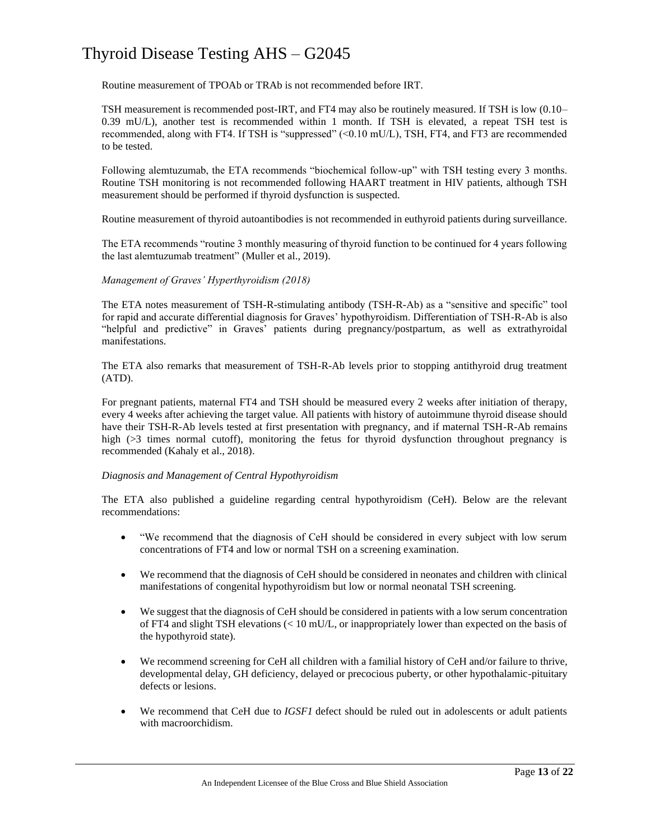Routine measurement of TPOAb or TRAb is not recommended before IRT.

TSH measurement is recommended post-IRT, and FT4 may also be routinely measured. If TSH is low (0.10– 0.39 mU/L), another test is recommended within 1 month. If TSH is elevated, a repeat TSH test is recommended, along with FT4. If TSH is "suppressed" (<0.10 mU/L), TSH, FT4, and FT3 are recommended to be tested.

Following alemtuzumab, the ETA recommends "biochemical follow-up" with TSH testing every 3 months. Routine TSH monitoring is not recommended following HAART treatment in HIV patients, although TSH measurement should be performed if thyroid dysfunction is suspected.

Routine measurement of thyroid autoantibodies is not recommended in euthyroid patients during surveillance.

The ETA recommends "routine 3 monthly measuring of thyroid function to be continued for 4 years following the last alemtuzumab treatment" (Muller et al., 2019).

### *Management of Graves' Hyperthyroidism (2018)*

The ETA notes measurement of TSH-R-stimulating antibody (TSH-R-Ab) as a "sensitive and specific" tool for rapid and accurate differential diagnosis for Graves' hypothyroidism. Differentiation of TSH-R-Ab is also "helpful and predictive" in Graves' patients during pregnancy/postpartum, as well as extrathyroidal manifestations.

The ETA also remarks that measurement of TSH-R-Ab levels prior to stopping antithyroid drug treatment (ATD).

For pregnant patients, maternal FT4 and TSH should be measured every 2 weeks after initiation of therapy, every 4 weeks after achieving the target value. All patients with history of autoimmune thyroid disease should have their TSH-R-Ab levels tested at first presentation with pregnancy, and if maternal TSH-R-Ab remains high ( $>3$  times normal cutoff), monitoring the fetus for thyroid dysfunction throughout pregnancy is recommended (Kahaly et al., 2018).

### *Diagnosis and Management of Central Hypothyroidism*

The ETA also published a guideline regarding central hypothyroidism (CeH). Below are the relevant recommendations:

- "We recommend that the diagnosis of CeH should be considered in every subject with low serum concentrations of FT4 and low or normal TSH on a screening examination.
- We recommend that the diagnosis of CeH should be considered in neonates and children with clinical manifestations of congenital hypothyroidism but low or normal neonatal TSH screening.
- We suggest that the diagnosis of CeH should be considered in patients with a low serum concentration of FT4 and slight TSH elevations (< 10 mU/L, or inappropriately lower than expected on the basis of the hypothyroid state).
- We recommend screening for CeH all children with a familial history of CeH and/or failure to thrive, developmental delay, GH deficiency, delayed or precocious puberty, or other hypothalamic-pituitary defects or lesions.
- We recommend that CeH due to *IGSF1* defect should be ruled out in adolescents or adult patients with macroorchidism.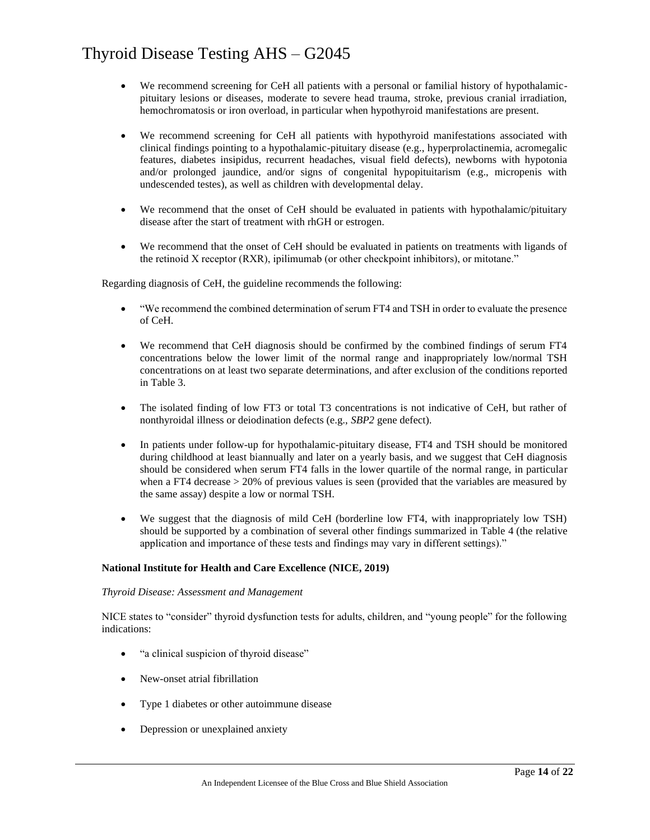- We recommend screening for CeH all patients with a personal or familial history of hypothalamicpituitary lesions or diseases, moderate to severe head trauma, stroke, previous cranial irradiation, hemochromatosis or iron overload, in particular when hypothyroid manifestations are present.
- We recommend screening for CeH all patients with hypothyroid manifestations associated with clinical findings pointing to a hypothalamic-pituitary disease (e.g., hyperprolactinemia, acromegalic features, diabetes insipidus, recurrent headaches, visual field defects), newborns with hypotonia and/or prolonged jaundice, and/or signs of congenital hypopituitarism (e.g., micropenis with undescended testes), as well as children with developmental delay.
- We recommend that the onset of CeH should be evaluated in patients with hypothalamic/pituitary disease after the start of treatment with rhGH or estrogen.
- We recommend that the onset of CeH should be evaluated in patients on treatments with ligands of the retinoid X receptor (RXR), ipilimumab (or other checkpoint inhibitors), or mitotane."

Regarding diagnosis of CeH, the guideline recommends the following:

- "We recommend the combined determination of serum FT4 and TSH in order to evaluate the presence of CeH.
- We recommend that CeH diagnosis should be confirmed by the combined findings of serum FT4 concentrations below the lower limit of the normal range and inappropriately low/normal TSH concentrations on at least two separate determinations, and after exclusion of the conditions reported in Table 3.
- The isolated finding of low FT3 or total T3 concentrations is not indicative of CeH, but rather of nonthyroidal illness or deiodination defects (e.g., *SBP2* gene defect).
- In patients under follow-up for hypothalamic-pituitary disease, FT4 and TSH should be monitored during childhood at least biannually and later on a yearly basis, and we suggest that CeH diagnosis should be considered when serum FT4 falls in the lower quartile of the normal range, in particular when a FT4 decrease  $> 20\%$  of previous values is seen (provided that the variables are measured by the same assay) despite a low or normal TSH.
- We suggest that the diagnosis of mild CeH (borderline low FT4, with inappropriately low TSH) should be supported by a combination of several other findings summarized in Table 4 (the relative application and importance of these tests and findings may vary in different settings)."

### **National Institute for Health and Care Excellence (NICE, 2019)**

### *Thyroid Disease: Assessment and Management*

NICE states to "consider" thyroid dysfunction tests for adults, children, and "young people" for the following indications:

- "a clinical suspicion of thyroid disease"
- New-onset atrial fibrillation
- Type 1 diabetes or other autoimmune disease
- Depression or unexplained anxiety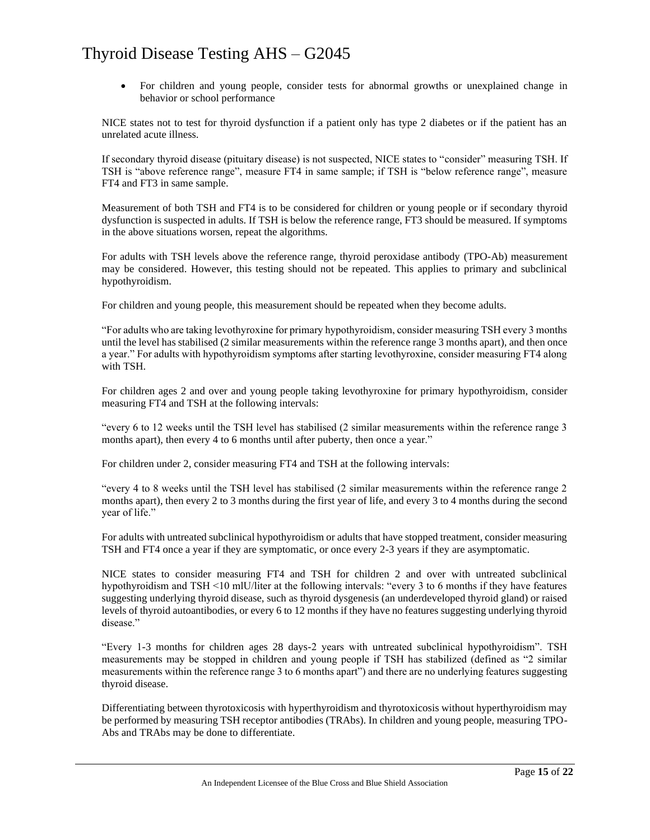• For children and young people, consider tests for abnormal growths or unexplained change in behavior or school performance

NICE states not to test for thyroid dysfunction if a patient only has type 2 diabetes or if the patient has an unrelated acute illness.

If secondary thyroid disease (pituitary disease) is not suspected, NICE states to "consider" measuring TSH. If TSH is "above reference range", measure FT4 in same sample; if TSH is "below reference range", measure FT4 and FT3 in same sample.

Measurement of both TSH and FT4 is to be considered for children or young people or if secondary thyroid dysfunction is suspected in adults. If TSH is below the reference range, FT3 should be measured. If symptoms in the above situations worsen, repeat the algorithms.

For adults with TSH levels above the reference range, thyroid peroxidase antibody (TPO-Ab) measurement may be considered. However, this testing should not be repeated. This applies to primary and subclinical hypothyroidism.

For children and young people, this measurement should be repeated when they become adults.

"For adults who are taking levothyroxine for primary hypothyroidism, consider measuring TSH every 3 months until the level has stabilised (2 similar measurements within the reference range 3 months apart), and then once a year." For adults with hypothyroidism symptoms after starting levothyroxine, consider measuring FT4 along with TSH.

For children ages 2 and over and young people taking levothyroxine for primary hypothyroidism, consider measuring FT4 and TSH at the following intervals:

"every 6 to 12 weeks until the TSH level has stabilised (2 similar measurements within the reference range 3 months apart), then every 4 to 6 months until after puberty, then once a year."

For children under 2, consider measuring FT4 and TSH at the following intervals:

"every 4 to 8 weeks until the TSH level has stabilised (2 similar measurements within the reference range 2 months apart), then every 2 to 3 months during the first year of life, and every 3 to 4 months during the second year of life."

For adults with untreated subclinical hypothyroidism or adults that have stopped treatment, consider measuring TSH and FT4 once a year if they are symptomatic, or once every 2-3 years if they are asymptomatic.

NICE states to consider measuring FT4 and TSH for children 2 and over with untreated subclinical hypothyroidism and TSH <10 mlU/liter at the following intervals: "every 3 to 6 months if they have features suggesting underlying thyroid disease, such as thyroid dysgenesis (an underdeveloped thyroid gland) or raised levels of thyroid autoantibodies, or every 6 to 12 months if they have no features suggesting underlying thyroid disease."

"Every 1-3 months for children ages 28 days-2 years with untreated subclinical hypothyroidism". TSH measurements may be stopped in children and young people if TSH has stabilized (defined as "2 similar measurements within the reference range 3 to 6 months apart") and there are no underlying features suggesting thyroid disease.

Differentiating between thyrotoxicosis with hyperthyroidism and thyrotoxicosis without hyperthyroidism may be performed by measuring TSH receptor antibodies (TRAbs). In children and young people, measuring TPO-Abs and TRAbs may be done to differentiate.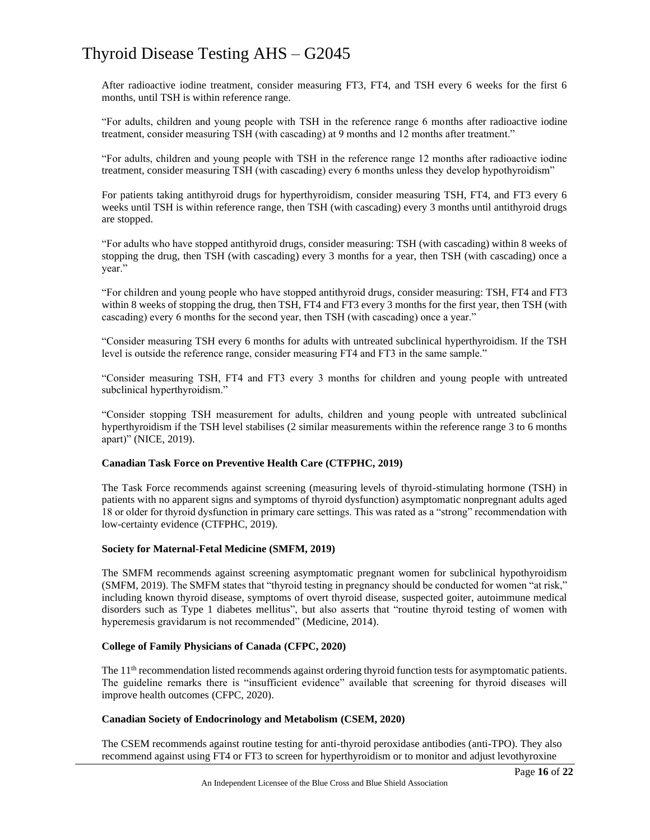After radioactive iodine treatment, consider measuring FT3, FT4, and TSH every 6 weeks for the first 6 months, until TSH is within reference range.

"For adults, children and young people with TSH in the reference range 6 months after radioactive iodine treatment, consider measuring TSH (with cascading) at 9 months and 12 months after treatment."

"For adults, children and young people with TSH in the reference range 12 months after radioactive iodine treatment, consider measuring TSH (with cascading) every 6 months unless they develop hypothyroidism"

For patients taking antithyroid drugs for hyperthyroidism, consider measuring TSH, FT4, and FT3 every 6 weeks until TSH is within reference range, then TSH (with cascading) every 3 months until antithyroid drugs are stopped.

"For adults who have stopped antithyroid drugs, consider measuring: TSH (with cascading) within 8 weeks of stopping the drug, then TSH (with cascading) every 3 months for a year, then TSH (with cascading) once a year."

"For children and young people who have stopped antithyroid drugs, consider measuring: TSH, FT4 and FT3 within 8 weeks of stopping the drug, then TSH, FT4 and FT3 every 3 months for the first year, then TSH (with cascading) every 6 months for the second year, then TSH (with cascading) once a year."

"Consider measuring TSH every 6 months for adults with untreated subclinical hyperthyroidism. If the TSH level is outside the reference range, consider measuring FT4 and FT3 in the same sample."

"Consider measuring TSH, FT4 and FT3 every 3 months for children and young people with untreated subclinical hyperthyroidism."

"Consider stopping TSH measurement for adults, children and young people with untreated subclinical hyperthyroidism if the TSH level stabilises (2 similar measurements within the reference range 3 to 6 months apart)" (NICE, 2019).

### **Canadian Task Force on Preventive Health Care (CTFPHC, 2019)**

The Task Force recommends against screening (measuring levels of thyroid-stimulating hormone (TSH) in patients with no apparent signs and symptoms of thyroid dysfunction) asymptomatic nonpregnant adults aged 18 or older for thyroid dysfunction in primary care settings. This was rated as a "strong" recommendation with low-certainty evidence (CTFPHC, 2019).

### **Society for Maternal-Fetal Medicine (SMFM, 2019)**

The SMFM recommends against screening asymptomatic pregnant women for subclinical hypothyroidism (SMFM, 2019). The SMFM states that "thyroid testing in pregnancy should be conducted for women "at risk," including known thyroid disease, symptoms of overt thyroid disease, suspected goiter, autoimmune medical disorders such as Type 1 diabetes mellitus", but also asserts that "routine thyroid testing of women with hyperemesis gravidarum is not recommended" (Medicine, 2014).

### **College of Family Physicians of Canada (CFPC, 2020)**

The  $11<sup>th</sup>$  recommendation listed recommends against ordering thyroid function tests for asymptomatic patients. The guideline remarks there is "insufficient evidence" available that screening for thyroid diseases will improve health outcomes (CFPC, 2020).

### **Canadian Society of Endocrinology and Metabolism (CSEM, 2020)**

The CSEM recommends against routine testing for anti-thyroid peroxidase antibodies (anti-TPO). They also recommend against using FT4 or FT3 to screen for hyperthyroidism or to monitor and adjust levothyroxine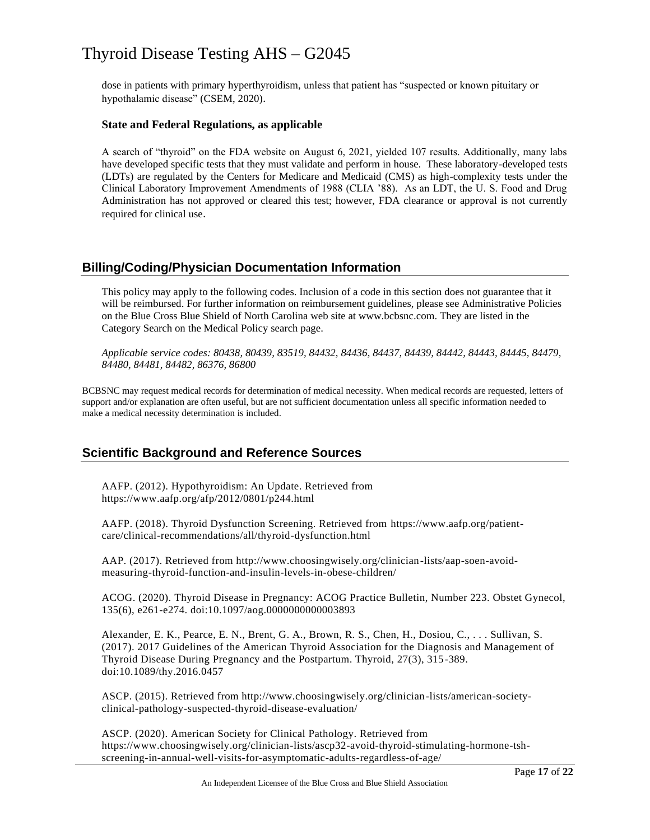dose in patients with primary hyperthyroidism, unless that patient has "suspected or known pituitary or hypothalamic disease" (CSEM, 2020).

### **State and Federal Regulations, as applicable**

A search of "thyroid" on the FDA website on August 6, 2021, yielded 107 results. Additionally, many labs have developed specific tests that they must validate and perform in house. These laboratory-developed tests (LDTs) are regulated by the Centers for Medicare and Medicaid (CMS) as high-complexity tests under the Clinical Laboratory Improvement Amendments of 1988 (CLIA '88). As an LDT, the U. S. Food and Drug Administration has not approved or cleared this test; however, FDA clearance or approval is not currently required for clinical use.

### **Billing/Coding/Physician Documentation Information**

This policy may apply to the following codes. Inclusion of a code in this section does not guarantee that it will be reimbursed. For further information on reimbursement guidelines, please see Administrative Policies on the Blue Cross Blue Shield of North Carolina web site at www.bcbsnc.com. They are listed in the Category Search on the Medical Policy search page.

*Applicable service codes: 80438, 80439, 83519, 84432, 84436, 84437, 84439, 84442, 84443, 84445, 84479, 84480, 84481, 84482, 86376, 86800*

BCBSNC may request medical records for determination of medical necessity. When medical records are requested, letters of support and/or explanation are often useful, but are not sufficient documentation unless all specific information needed to make a medical necessity determination is included.

### **Scientific Background and Reference Sources**

AAFP. (2012). Hypothyroidism: An Update. Retrieved from https://www.aafp.org/afp/2012/0801/p244.html

AAFP. (2018). Thyroid Dysfunction Screening. Retrieved from https://www.aafp.org/patientcare/clinical-recommendations/all/thyroid-dysfunction.html

AAP. (2017). Retrieved from http://www.choosingwisely.org/clinician-lists/aap-soen-avoidmeasuring-thyroid-function-and-insulin-levels-in-obese-children/

ACOG. (2020). Thyroid Disease in Pregnancy: ACOG Practice Bulletin, Number 223. Obstet Gynecol, 135(6), e261-e274. doi:10.1097/aog.0000000000003893

Alexander, E. K., Pearce, E. N., Brent, G. A., Brown, R. S., Chen, H., Dosiou, C., . . . Sullivan, S. (2017). 2017 Guidelines of the American Thyroid Association for the Diagnosis and Management of Thyroid Disease During Pregnancy and the Postpartum. Thyroid, 27(3), 315-389. doi:10.1089/thy.2016.0457

ASCP. (2015). Retrieved from http://www.choosingwisely.org/clinician-lists/american-societyclinical-pathology-suspected-thyroid-disease-evaluation/

ASCP. (2020). American Society for Clinical Pathology. Retrieved from https://www.choosingwisely.org/clinician-lists/ascp32-avoid-thyroid-stimulating-hormone-tshscreening-in-annual-well-visits-for-asymptomatic-adults-regardless-of-age/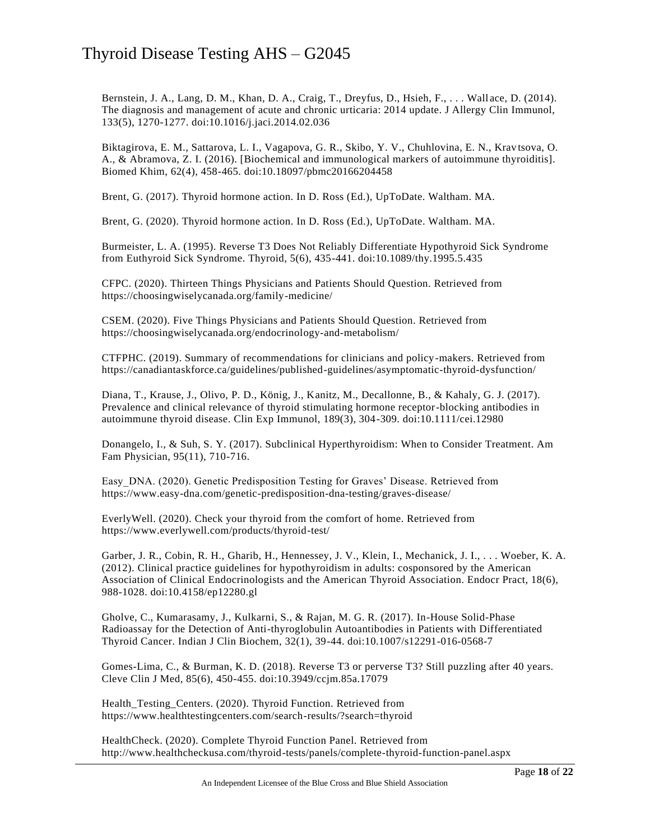Bernstein, J. A., Lang, D. M., Khan, D. A., Craig, T., Dreyfus, D., Hsieh, F., . . . Wall ace, D. (2014). The diagnosis and management of acute and chronic urticaria: 2014 update. J Allergy Clin Immunol, 133(5), 1270-1277. doi:10.1016/j.jaci.2014.02.036

Biktagirova, E. M., Sattarova, L. I., Vagapova, G. R., Skibo, Y. V., Chuhlovina, E. N., Krav tsova, O. A., & Abramova, Z. I. (2016). [Biochemical and immunological markers of autoimmune thyroiditis]. Biomed Khim, 62(4), 458-465. doi:10.18097/pbmc20166204458

Brent, G. (2017). Thyroid hormone action. In D. Ross (Ed.), UpToDate. Waltham. MA.

Brent, G. (2020). Thyroid hormone action. In D. Ross (Ed.), UpToDate. Waltham. MA.

Burmeister, L. A. (1995). Reverse T3 Does Not Reliably Differentiate Hypothyroid Sick Syndrome from Euthyroid Sick Syndrome. Thyroid, 5(6), 435-441. doi:10.1089/thy.1995.5.435

CFPC. (2020). Thirteen Things Physicians and Patients Should Question. Retrieved from https://choosingwiselycanada.org/family-medicine/

CSEM. (2020). Five Things Physicians and Patients Should Question. Retrieved from https://choosingwiselycanada.org/endocrinology-and-metabolism/

CTFPHC. (2019). Summary of recommendations for clinicians and policy-makers. Retrieved from https://canadiantaskforce.ca/guidelines/published-guidelines/asymptomatic-thyroid-dysfunction/

Diana, T., Krause, J., Olivo, P. D., König, J., Kanitz, M., Decallonne, B., & Kahaly, G. J. (2017). Prevalence and clinical relevance of thyroid stimulating hormone receptor-blocking antibodies in autoimmune thyroid disease. Clin Exp Immunol, 189(3), 304-309. doi:10.1111/cei.12980

Donangelo, I., & Suh, S. Y. (2017). Subclinical Hyperthyroidism: When to Consider Treatment. Am Fam Physician, 95(11), 710-716.

Easy\_DNA. (2020). Genetic Predisposition Testing for Graves' Disease. Retrieved from https://www.easy-dna.com/genetic-predisposition-dna-testing/graves-disease/

EverlyWell. (2020). Check your thyroid from the comfort of home. Retrieved from https://www.everlywell.com/products/thyroid-test/

Garber, J. R., Cobin, R. H., Gharib, H., Hennessey, J. V., Klein, I., Mechanick, J. I., . . . Woeber, K. A. (2012). Clinical practice guidelines for hypothyroidism in adults: cosponsored by the American Association of Clinical Endocrinologists and the American Thyroid Association. Endocr Pract, 18(6), 988-1028. doi:10.4158/ep12280.gl

Gholve, C., Kumarasamy, J., Kulkarni, S., & Rajan, M. G. R. (2017). In-House Solid-Phase Radioassay for the Detection of Anti-thyroglobulin Autoantibodies in Patients with Differentiated Thyroid Cancer. Indian J Clin Biochem, 32(1), 39-44. doi:10.1007/s12291-016-0568-7

Gomes-Lima, C., & Burman, K. D. (2018). Reverse T3 or perverse T3? Still puzzling after 40 years. Cleve Clin J Med, 85(6), 450-455. doi:10.3949/ccjm.85a.17079

Health\_Testing\_Centers. (2020). Thyroid Function. Retrieved from https://www.healthtestingcenters.com/search-results/?search=thyroid

HealthCheck. (2020). Complete Thyroid Function Panel. Retrieved from http://www.healthcheckusa.com/thyroid-tests/panels/complete-thyroid-function-panel.aspx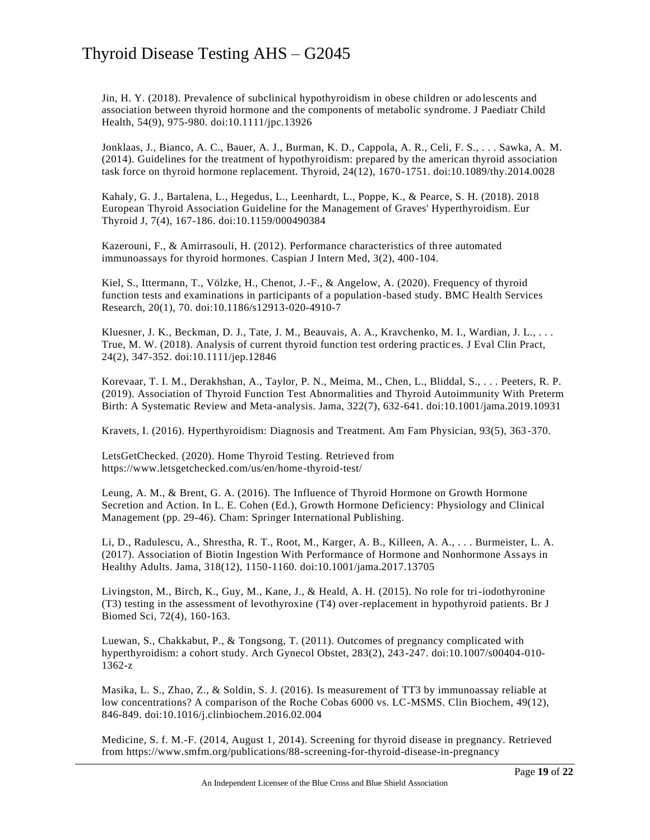Jin, H. Y. (2018). Prevalence of subclinical hypothyroidism in obese children or ado lescents and association between thyroid hormone and the components of metabolic syndrome. J Paediatr Child Health, 54(9), 975-980. doi:10.1111/jpc.13926

Jonklaas, J., Bianco, A. C., Bauer, A. J., Burman, K. D., Cappola, A. R., Celi, F. S., . . . Sawka, A. M. (2014). Guidelines for the treatment of hypothyroidism: prepared by the american thyroid association task force on thyroid hormone replacement. Thyroid, 24(12), 1670-1751. doi:10.1089/thy.2014.0028

Kahaly, G. J., Bartalena, L., Hegedus, L., Leenhardt, L., Poppe, K., & Pearce, S. H. (2018). 2018 European Thyroid Association Guideline for the Management of Graves' Hyperthyroidism. Eur Thyroid J, 7(4), 167-186. doi:10.1159/000490384

Kazerouni, F., & Amirrasouli, H. (2012). Performance characteristics of three automated immunoassays for thyroid hormones. Caspian J Intern Med, 3(2), 400-104.

Kiel, S., Ittermann, T., Völzke, H., Chenot, J.-F., & Angelow, A. (2020). Frequency of thyroid function tests and examinations in participants of a population-based study. BMC Health Services Research, 20(1), 70. doi:10.1186/s12913-020-4910-7

Kluesner, J. K., Beckman, D. J., Tate, J. M., Beauvais, A. A., Kravchenko, M. I., Wardian, J. L., . . . True, M. W. (2018). Analysis of current thyroid function test ordering practic es. J Eval Clin Pract, 24(2), 347-352. doi:10.1111/jep.12846

Korevaar, T. I. M., Derakhshan, A., Taylor, P. N., Meima, M., Chen, L., Bliddal, S., . . . Peeters, R. P. (2019). Association of Thyroid Function Test Abnormalities and Thyroid Autoimmunity With Preterm Birth: A Systematic Review and Meta-analysis. Jama, 322(7), 632-641. doi:10.1001/jama.2019.10931

Kravets, I. (2016). Hyperthyroidism: Diagnosis and Treatment. Am Fam Physician, 93(5), 363 -370.

LetsGetChecked. (2020). Home Thyroid Testing. Retrieved from https://www.letsgetchecked.com/us/en/home-thyroid-test/

Leung, A. M., & Brent, G. A. (2016). The Influence of Thyroid Hormone on Growth Hormone Secretion and Action. In L. E. Cohen (Ed.), Growth Hormone Deficiency: Physiology and Clinical Management (pp. 29-46). Cham: Springer International Publishing.

Li, D., Radulescu, A., Shrestha, R. T., Root, M., Karger, A. B., Killeen, A. A., . . . Burmeister, L. A. (2017). Association of Biotin Ingestion With Performance of Hormone and Nonhormone Ass ays in Healthy Adults. Jama, 318(12), 1150-1160. doi:10.1001/jama.2017.13705

Livingston, M., Birch, K., Guy, M., Kane, J., & Heald, A. H. (2015). No role for tri-iodothyronine (T3) testing in the assessment of levothyroxine (T4) over-replacement in hypothyroid patients. Br J Biomed Sci, 72(4), 160-163.

Luewan, S., Chakkabut, P., & Tongsong, T. (2011). Outcomes of pregnancy complicated with hyperthyroidism: a cohort study. Arch Gynecol Obstet, 283(2), 243-247. doi:10.1007/s00404-010- 1362-z

Masika, L. S., Zhao, Z., & Soldin, S. J. (2016). Is measurement of TT3 by immunoassay reliable at low concentrations? A comparison of the Roche Cobas 6000 vs. LC-MSMS. Clin Biochem, 49(12), 846-849. doi:10.1016/j.clinbiochem.2016.02.004

Medicine, S. f. M.-F. (2014, August 1, 2014). Screening for thyroid disease in pregnancy. Retrieved from https://www.smfm.org/publications/88-screening-for-thyroid-disease-in-pregnancy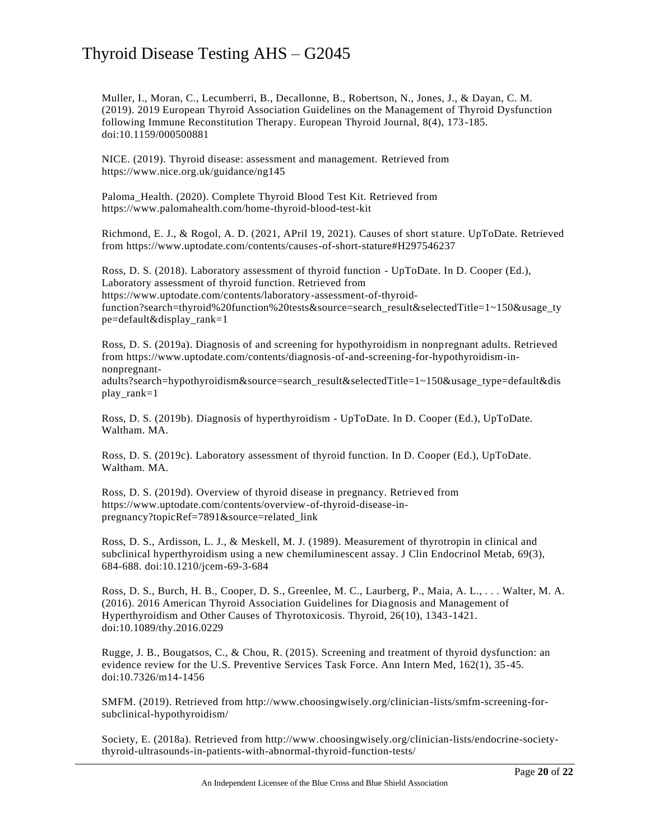Muller, I., Moran, C., Lecumberri, B., Decallonne, B., Robertson, N., Jones, J., & Dayan, C. M. (2019). 2019 European Thyroid Association Guidelines on the Management of Thyroid Dysfunction following Immune Reconstitution Therapy. European Thyroid Journal, 8(4), 173-185. doi:10.1159/000500881

NICE. (2019). Thyroid disease: assessment and management. Retrieved from https://www.nice.org.uk/guidance/ng145

Paloma\_Health. (2020). Complete Thyroid Blood Test Kit. Retrieved from https://www.palomahealth.com/home-thyroid-blood-test-kit

Richmond, E. J., & Rogol, A. D. (2021, APril 19, 2021). Causes of short stature. UpToDate. Retrieved from https://www.uptodate.com/contents/causes-of-short-stature#H297546237

Ross, D. S. (2018). Laboratory assessment of thyroid function - UpToDate. In D. Cooper (Ed.), Laboratory assessment of thyroid function. Retrieved from https://www.uptodate.com/contents/laboratory-assessment-of-thyroidfunction?search=thyroid%20function%20tests&source=search\_result&selectedTitle=1~150&usage\_ty pe=default&display\_rank=1

Ross, D. S. (2019a). Diagnosis of and screening for hypothyroidism in nonpregnant adults. Retrieved from https://www.uptodate.com/contents/diagnosis-of-and-screening-for-hypothyroidism-innonpregnantadults?search=hypothyroidism&source=search\_result&selectedTitle=1~150&usage\_type=default&dis

play\_rank=1

Ross, D. S. (2019b). Diagnosis of hyperthyroidism - UpToDate. In D. Cooper (Ed.), UpToDate. Waltham. MA.

Ross, D. S. (2019c). Laboratory assessment of thyroid function. In D. Cooper (Ed.), UpToDate. Waltham. MA.

Ross, D. S. (2019d). Overview of thyroid disease in pregnancy. Retrieved from https://www.uptodate.com/contents/overview-of-thyroid-disease-inpregnancy?topicRef=7891&source=related\_link

Ross, D. S., Ardisson, L. J., & Meskell, M. J. (1989). Measurement of thyrotropin in clinical and subclinical hyperthyroidism using a new chemiluminescent assay. J Clin Endocrinol Metab, 69(3), 684-688. doi:10.1210/jcem-69-3-684

Ross, D. S., Burch, H. B., Cooper, D. S., Greenlee, M. C., Laurberg, P., Maia, A. L., . . . Walter, M. A. (2016). 2016 American Thyroid Association Guidelines for Diagnosis and Management of Hyperthyroidism and Other Causes of Thyrotoxicosis. Thyroid, 26(10), 1343-1421. doi:10.1089/thy.2016.0229

Rugge, J. B., Bougatsos, C., & Chou, R. (2015). Screening and treatment of thyroid dysfunction: an evidence review for the U.S. Preventive Services Task Force. Ann Intern Med, 162(1), 35-45. doi:10.7326/m14-1456

SMFM. (2019). Retrieved from http://www.choosingwisely.org/clinician-lists/smfm-screening-forsubclinical-hypothyroidism/

Society, E. (2018a). Retrieved from http://www.choosingwisely.org/clinician-lists/endocrine-societythyroid-ultrasounds-in-patients-with-abnormal-thyroid-function-tests/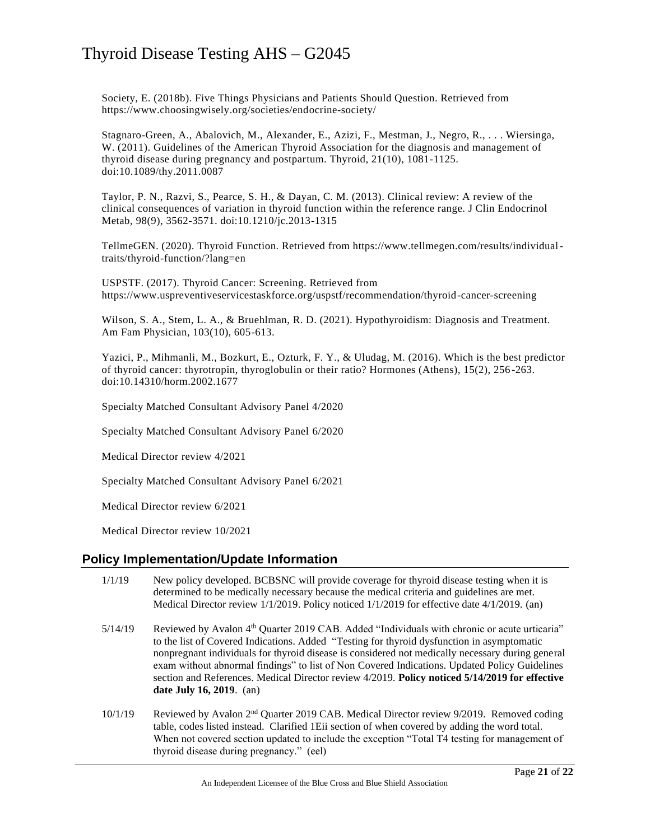Society, E. (2018b). Five Things Physicians and Patients Should Question. Retrieved from https://www.choosingwisely.org/societies/endocrine-society/

Stagnaro-Green, A., Abalovich, M., Alexander, E., Azizi, F., Mestman, J., Negro, R., . . . Wiersinga, W. (2011). Guidelines of the American Thyroid Association for the diagnosis and management of thyroid disease during pregnancy and postpartum. Thyroid, 21(10), 1081-1125. doi:10.1089/thy.2011.0087

Taylor, P. N., Razvi, S., Pearce, S. H., & Dayan, C. M. (2013). Clinical review: A review of the clinical consequences of variation in thyroid function within the reference range. J Clin Endocrinol Metab, 98(9), 3562-3571. doi:10.1210/jc.2013-1315

TellmeGEN. (2020). Thyroid Function. Retrieved from https://www.tellmegen.com/results/individualtraits/thyroid-function/?lang=en

USPSTF. (2017). Thyroid Cancer: Screening. Retrieved from https://www.uspreventiveservicestaskforce.org/uspstf/recommendation/thyroid-cancer-screening

Wilson, S. A., Stem, L. A., & Bruehlman, R. D. (2021). Hypothyroidism: Diagnosis and Treatment. Am Fam Physician, 103(10), 605-613.

Yazici, P., Mihmanli, M., Bozkurt, E., Ozturk, F. Y., & Uludag, M. (2016). Which is the best predictor of thyroid cancer: thyrotropin, thyroglobulin or their ratio? Hormones (Athens), 15(2), 256 -263. doi:10.14310/horm.2002.1677

Specialty Matched Consultant Advisory Panel 4/2020

Specialty Matched Consultant Advisory Panel 6/2020

Medical Director review 4/2021

Specialty Matched Consultant Advisory Panel 6/2021

Medical Director review 6/2021

Medical Director review 10/2021

### **Policy Implementation/Update Information**

- 1/1/19 New policy developed. BCBSNC will provide coverage for thyroid disease testing when it is determined to be medically necessary because the medical criteria and guidelines are met. Medical Director review 1/1/2019. Policy noticed 1/1/2019 for effective date 4/1/2019. (an)
- 5/14/19 Reviewed by Avalon 4<sup>th</sup> Quarter 2019 CAB. Added "Individuals with chronic or acute urticaria" to the list of Covered Indications. Added "Testing for thyroid dysfunction in asymptomatic nonpregnant individuals for thyroid disease is considered not medically necessary during general exam without abnormal findings" to list of Non Covered Indications. Updated Policy Guidelines section and References. Medical Director review 4/2019. **Policy noticed 5/14/2019 for effective date July 16, 2019**. (an)
- 10/1/19 Reviewed by Avalon 2nd Quarter 2019 CAB. Medical Director review 9/2019. Removed coding table, codes listed instead. Clarified 1Eii section of when covered by adding the word total. When not covered section updated to include the exception "Total T4 testing for management of thyroid disease during pregnancy." (eel)